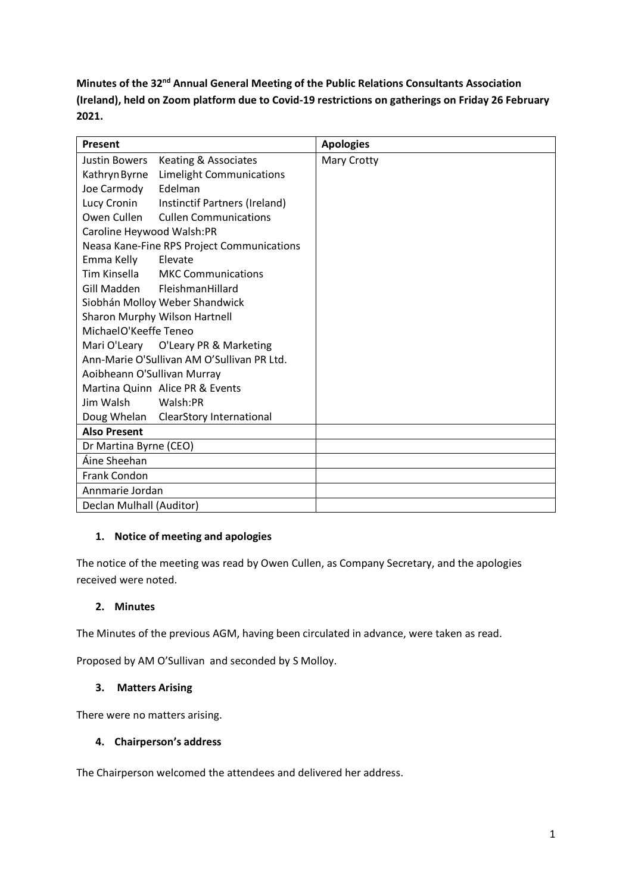**Minutes of the 32nd Annual General Meeting of the Public Relations Consultants Association (Ireland), held on Zoom platform due to Covid-19 restrictions on gatherings on Friday 26 February 2021.**

| Present                                    |                                           | <b>Apologies</b> |
|--------------------------------------------|-------------------------------------------|------------------|
| Justin Bowers                              | Keating & Associates                      | Mary Crotty      |
| Kathryn Byrne                              | <b>Limelight Communications</b>           |                  |
| Joe Carmody                                | Edelman                                   |                  |
|                                            | Lucy Cronin Instinctif Partners (Ireland) |                  |
|                                            | Owen Cullen Cullen Communications         |                  |
| Caroline Heywood Walsh:PR                  |                                           |                  |
| Neasa Kane-Fine RPS Project Communications |                                           |                  |
| Emma Kelly                                 | Elevate                                   |                  |
|                                            | Tim Kinsella MKC Communications           |                  |
|                                            | Gill Madden FleishmanHillard              |                  |
| Siobhán Molloy Weber Shandwick             |                                           |                  |
| Sharon Murphy Wilson Hartnell              |                                           |                  |
| MichaelO'Keeffe Teneo                      |                                           |                  |
|                                            | Mari O'Leary O'Leary PR & Marketing       |                  |
| Ann-Marie O'Sullivan AM O'Sullivan PR Ltd. |                                           |                  |
| Aoibheann O'Sullivan Murray                |                                           |                  |
|                                            | Martina Quinn Alice PR & Events           |                  |
| Jim Walsh                                  | Walsh:PR                                  |                  |
|                                            | Doug Whelan ClearStory International      |                  |
| <b>Also Present</b>                        |                                           |                  |
| Dr Martina Byrne (CEO)                     |                                           |                  |
| Áine Sheehan                               |                                           |                  |
| Frank Condon                               |                                           |                  |
| Annmarie Jordan                            |                                           |                  |
| Declan Mulhall (Auditor)                   |                                           |                  |

# **1. Notice of meeting and apologies**

The notice of the meeting was read by Owen Cullen, as Company Secretary, and the apologies received were noted.

# **2. Minutes**

The Minutes of the previous AGM, having been circulated in advance, were taken as read.

Proposed by AM O'Sullivan and seconded by S Molloy.

# **3. Matters Arising**

There were no matters arising.

# **4. Chairperson's address**

The Chairperson welcomed the attendees and delivered her address.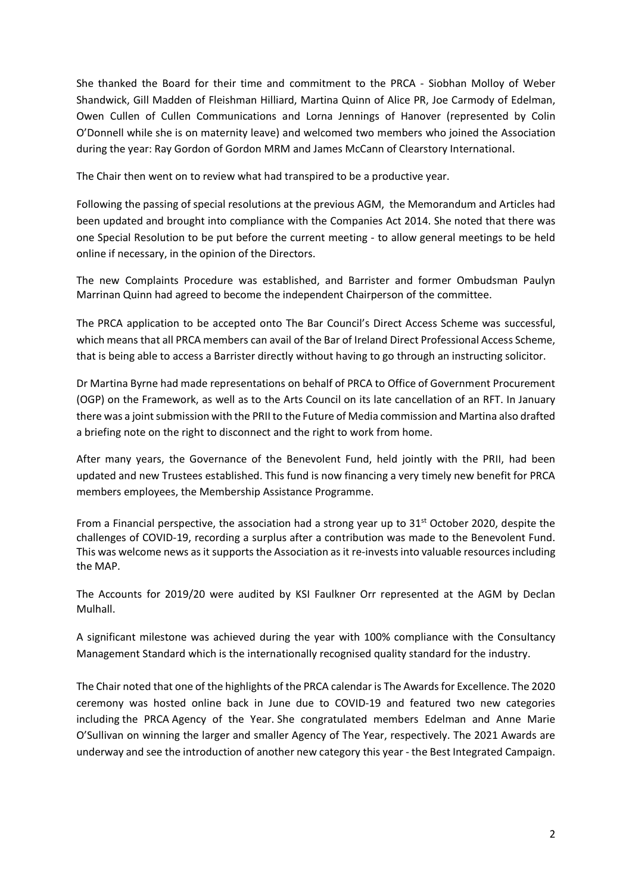She thanked the Board for their time and commitment to the PRCA - Siobhan Molloy of Weber Shandwick, Gill Madden of Fleishman Hilliard, Martina Quinn of Alice PR, Joe Carmody of Edelman, Owen Cullen of Cullen Communications and Lorna Jennings of Hanover (represented by Colin O'Donnell while she is on maternity leave) and welcomed two members who joined the Association during the year: Ray Gordon of Gordon MRM and James McCann of Clearstory International.

The Chair then went on to review what had transpired to be a productive year.

Following the passing of special resolutions at the previous AGM, the Memorandum and Articles had been updated and brought into compliance with the Companies Act 2014. She noted that there was one Special Resolution to be put before the current meeting - to allow general meetings to be held online if necessary, in the opinion of the Directors.

The new Complaints Procedure was established, and Barrister and former Ombudsman Paulyn Marrinan Quinn had agreed to become the independent Chairperson of the committee.

The PRCA application to be accepted onto The Bar Council's Direct Access Scheme was successful, which means that all PRCA members can avail of the Bar of Ireland Direct Professional Access Scheme, that is being able to access a Barrister directly without having to go through an instructing solicitor.

Dr Martina Byrne had made representations on behalf of PRCA to Office of Government Procurement (OGP) on the Framework, as well as to the Arts Council on its late cancellation of an RFT. In January there was a joint submission with the PRII to the Future of Media commission and Martina also drafted a briefing note on the right to disconnect and the right to work from home.

After many years, the Governance of the Benevolent Fund, held jointly with the PRII, had been updated and new Trustees established. This fund is now financing a very timely new benefit for PRCA members employees, the Membership Assistance Programme.

From a Financial perspective, the association had a strong year up to  $31<sup>st</sup>$  October 2020, despite the challenges of COVID-19, recording a surplus after a contribution was made to the Benevolent Fund. This was welcome news as it supports the Association as it re-invests into valuable resources including the MAP.

The Accounts for 2019/20 were audited by KSI Faulkner Orr represented at the AGM by Declan Mulhall.

A significant milestone was achieved during the year with 100% compliance with the Consultancy Management Standard which is the internationally recognised quality standard for the industry.

The Chair noted that one of the highlights of the PRCA calendar is The Awards for Excellence. The 2020 ceremony was hosted online back in June due to COVID-19 and featured two new categories including the PRCA Agency of the Year. She congratulated members Edelman and Anne Marie O'Sullivan on winning the larger and smaller Agency of The Year, respectively. The 2021 Awards are underway and see the introduction of another new category this year - the Best Integrated Campaign.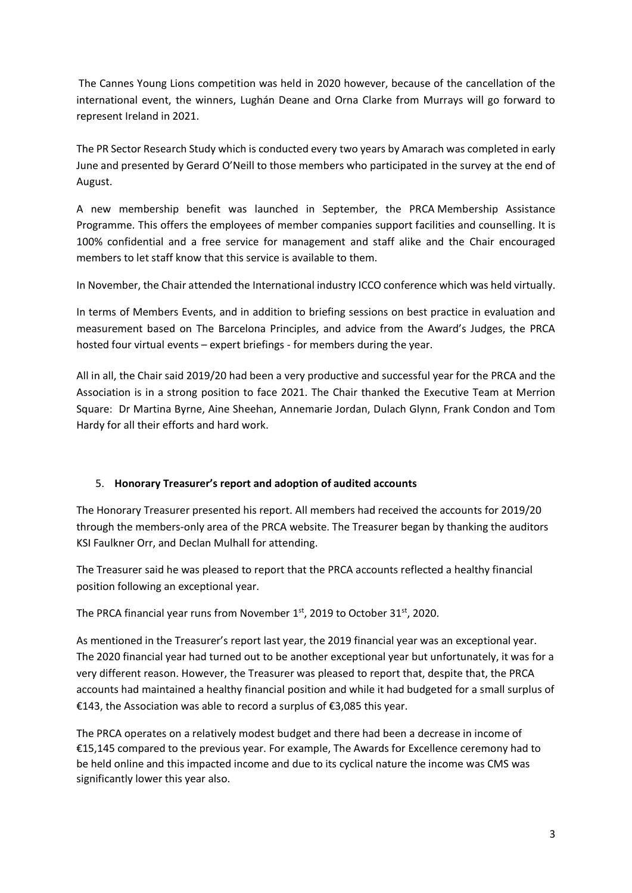The Cannes Young Lions competition was held in 2020 however, because of the cancellation of the international event, the winners, Lughán Deane and Orna Clarke from Murrays will go forward to represent Ireland in 2021.

The PR Sector Research Study which is conducted every two years by Amarach was completed in early June and presented by Gerard O'Neill to those members who participated in the survey at the end of August.

A new membership benefit was launched in September, the PRCA Membership Assistance Programme. This offers the employees of member companies support facilities and counselling. It is 100% confidential and a free service for management and staff alike and the Chair encouraged members to let staff know that this service is available to them.

In November, the Chair attended the International industry ICCO conference which was held virtually.

In terms of Members Events, and in addition to briefing sessions on best practice in evaluation and measurement based on The Barcelona Principles, and advice from the Award's Judges, the PRCA hosted four virtual events – expert briefings - for members during the year.

All in all, the Chair said 2019/20 had been a very productive and successful year for the PRCA and the Association is in a strong position to face 2021. The Chair thanked the Executive Team at Merrion Square: Dr Martina Byrne, Aine Sheehan, Annemarie Jordan, Dulach Glynn, Frank Condon and Tom Hardy for all their efforts and hard work.

# 5. **Honorary Treasurer's report and adoption of audited accounts**

The Honorary Treasurer presented his report. All members had received the accounts for 2019/20 through the members-only area of the PRCA website. The Treasurer began by thanking the auditors KSI Faulkner Orr, and Declan Mulhall for attending.

The Treasurer said he was pleased to report that the PRCA accounts reflected a healthy financial position following an exceptional year.

The PRCA financial year runs from November 1st, 2019 to October 31st, 2020.

As mentioned in the Treasurer's report last year, the 2019 financial year was an exceptional year. The 2020 financial year had turned out to be another exceptional year but unfortunately, it was for a very different reason. However, the Treasurer was pleased to report that, despite that, the PRCA accounts had maintained a healthy financial position and while it had budgeted for a small surplus of €143, the Association was able to record a surplus of €3,085 this year.

The PRCA operates on a relatively modest budget and there had been a decrease in income of €15,145 compared to the previous year. For example, The Awards for Excellence ceremony had to be held online and this impacted income and due to its cyclical nature the income was CMS was significantly lower this year also.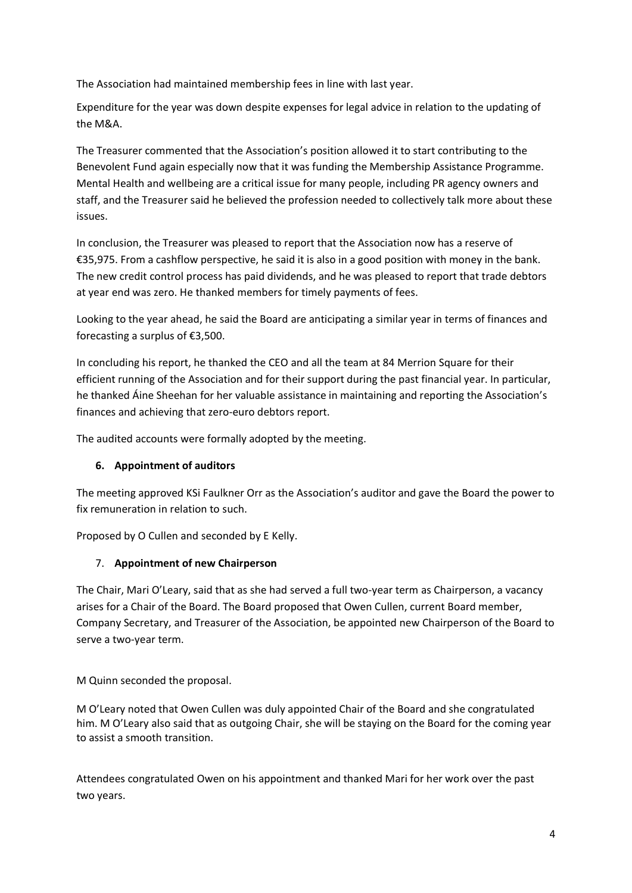The Association had maintained membership fees in line with last year.

Expenditure for the year was down despite expenses for legal advice in relation to the updating of the M&A.

The Treasurer commented that the Association's position allowed it to start contributing to the Benevolent Fund again especially now that it was funding the Membership Assistance Programme. Mental Health and wellbeing are a critical issue for many people, including PR agency owners and staff, and the Treasurer said he believed the profession needed to collectively talk more about these issues.

In conclusion, the Treasurer was pleased to report that the Association now has a reserve of €35,975. From a cashflow perspective, he said it is also in a good position with money in the bank. The new credit control process has paid dividends, and he was pleased to report that trade debtors at year end was zero. He thanked members for timely payments of fees.

Looking to the year ahead, he said the Board are anticipating a similar year in terms of finances and forecasting a surplus of €3,500.

In concluding his report, he thanked the CEO and all the team at 84 Merrion Square for their efficient running of the Association and for their support during the past financial year. In particular, he thanked Áine Sheehan for her valuable assistance in maintaining and reporting the Association's finances and achieving that zero-euro debtors report.

The audited accounts were formally adopted by the meeting.

# **6. Appointment of auditors**

The meeting approved KSi Faulkner Orr as the Association's auditor and gave the Board the power to fix remuneration in relation to such.

Proposed by O Cullen and seconded by E Kelly.

# 7. **Appointment of new Chairperson**

The Chair, Mari O'Leary, said that as she had served a full two-year term as Chairperson, a vacancy arises for a Chair of the Board. The Board proposed that Owen Cullen, current Board member, Company Secretary, and Treasurer of the Association, be appointed new Chairperson of the Board to serve a two-year term.

M Quinn seconded the proposal.

M O'Leary noted that Owen Cullen was duly appointed Chair of the Board and she congratulated him. M O'Leary also said that as outgoing Chair, she will be staying on the Board for the coming year to assist a smooth transition.

Attendees congratulated Owen on his appointment and thanked Mari for her work over the past two years.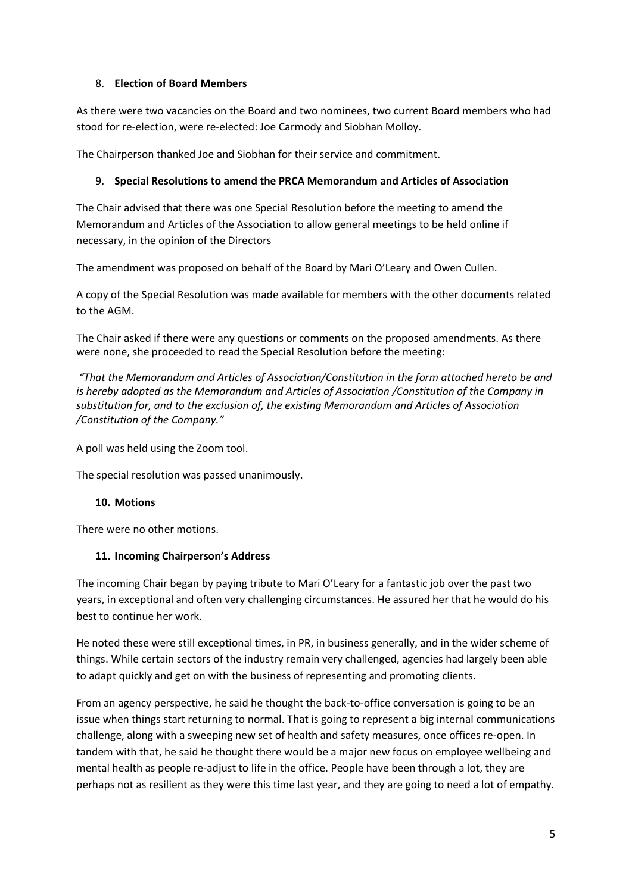#### 8. **Election of Board Members**

As there were two vacancies on the Board and two nominees, two current Board members who had stood for re-election, were re-elected: Joe Carmody and Siobhan Molloy.

The Chairperson thanked Joe and Siobhan for their service and commitment.

#### 9. **Special Resolutions to amend the PRCA Memorandum and Articles of Association**

The Chair advised that there was one Special Resolution before the meeting to amend the Memorandum and Articles of the Association to allow general meetings to be held online if necessary, in the opinion of the Directors

The amendment was proposed on behalf of the Board by Mari O'Leary and Owen Cullen.

A copy of the Special Resolution was made available for members with the other documents related to the AGM.

The Chair asked if there were any questions or comments on the proposed amendments. As there were none, she proceeded to read the Special Resolution before the meeting:

*"That the Memorandum and Articles of Association/Constitution in the form attached hereto be and is hereby adopted as the Memorandum and Articles of Association /Constitution of the Company in substitution for, and to the exclusion of, the existing Memorandum and Articles of Association /Constitution of the Company."*

A poll was held using the Zoom tool.

The special resolution was passed unanimously.

# **10. Motions**

There were no other motions.

#### **11. Incoming Chairperson's Address**

The incoming Chair began by paying tribute to Mari O'Leary for a fantastic job over the past two years, in exceptional and often very challenging circumstances. He assured her that he would do his best to continue her work.

He noted these were still exceptional times, in PR, in business generally, and in the wider scheme of things. While certain sectors of the industry remain very challenged, agencies had largely been able to adapt quickly and get on with the business of representing and promoting clients.

From an agency perspective, he said he thought the back-to-office conversation is going to be an issue when things start returning to normal. That is going to represent a big internal communications challenge, along with a sweeping new set of health and safety measures, once offices re-open. In tandem with that, he said he thought there would be a major new focus on employee wellbeing and mental health as people re-adjust to life in the office. People have been through a lot, they are perhaps not as resilient as they were this time last year, and they are going to need a lot of empathy.